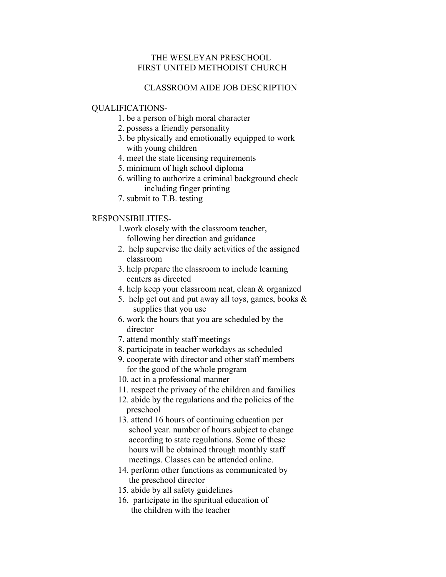## THE WESLEYAN PRESCHOOL FIRST UNITED METHODIST CHURCH

# CLASSROOM AIDE JOB DESCRIPTION

#### QUALIFICATIONS-

- 1. be a person of high moral character
- 2. possess a friendly personality
- 3. be physically and emotionally equipped to work with young children
- 4. meet the state licensing requirements
- 5. minimum of high school diploma
- 6. willing to authorize a criminal background check including finger printing
- 7. submit to T.B. testing

## RESPONSIBILITIES-

 1.work closely with the classroom teacher, following her direction and guidance

- 2. help supervise the daily activities of the assigned classroom
- 3. help prepare the classroom to include learning centers as directed
- 4. help keep your classroom neat, clean & organized
- 5. help get out and put away all toys, games, books & supplies that you use
- 6. work the hours that you are scheduled by the director
- 7. attend monthly staff meetings
- 8. participate in teacher workdays as scheduled
- 9. cooperate with director and other staff members for the good of the whole program
- 10. act in a professional manner
- 11. respect the privacy of the children and families
- 12. abide by the regulations and the policies of the preschool
- 13. attend 16 hours of continuing education per school year. number of hours subject to change according to state regulations. Some of these hours will be obtained through monthly staff meetings. Classes can be attended online.
- 14. perform other functions as communicated by the preschool director
- 15. abide by all safety guidelines
- 16. participate in the spiritual education of the children with the teacher